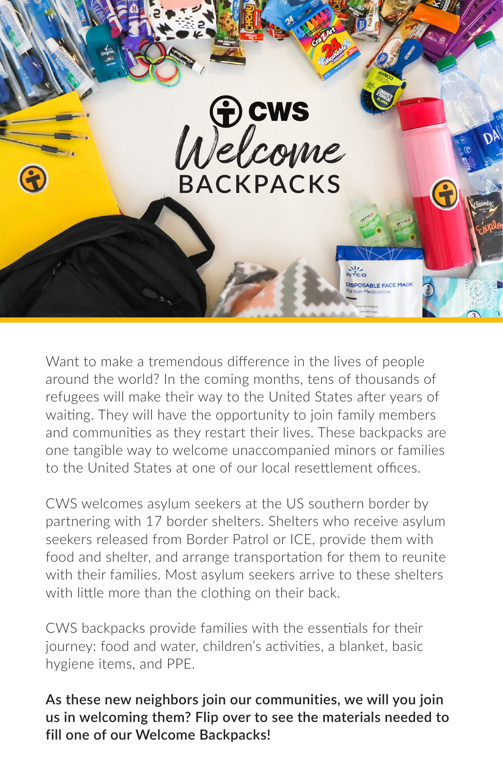

Want to make a tremendous difference in the lives of people around the world? In the coming months, tens of thousands of refugees will make their way to the United States after years of waiting. They will have the opportunity to join family members and communities as they restart their lives. These backpacks are one tangible way to welcome unaccompanied minors or families to the United States at one of our local resettlement offices.

CWS welcomes asylum seekers at the US southern border by partnering with 17 border shelters. Shelters who receive asylum seekers released from Border Patrol or ICE, provide them with food and shelter, and arrange transportation for them to reunite with their families. Most asylum seekers arrive to these shelters with little more than the clothing on their back.

CWS backpacks provide families with the essentials for their journey: food and water, children's activities, a blanket, basic hygiene items, and PPE.

**As these new neighbors join our communities, we will you join us in welcoming them? Flip over to see the materials needed to fill one of our Welcome Backpacks!**